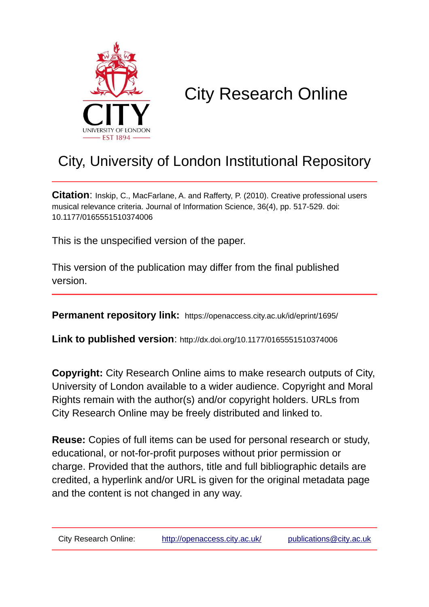

# City Research Online

# City, University of London Institutional Repository

**Citation**: Inskip, C., MacFarlane, A. and Rafferty, P. (2010). Creative professional users musical relevance criteria. Journal of Information Science, 36(4), pp. 517-529. doi: 10.1177/0165551510374006

This is the unspecified version of the paper.

This version of the publication may differ from the final published version.

**Permanent repository link:** https://openaccess.city.ac.uk/id/eprint/1695/

**Link to published version**: http://dx.doi.org/10.1177/0165551510374006

**Copyright:** City Research Online aims to make research outputs of City, University of London available to a wider audience. Copyright and Moral Rights remain with the author(s) and/or copyright holders. URLs from City Research Online may be freely distributed and linked to.

**Reuse:** Copies of full items can be used for personal research or study, educational, or not-for-profit purposes without prior permission or charge. Provided that the authors, title and full bibliographic details are credited, a hyperlink and/or URL is given for the original metadata page and the content is not changed in any way.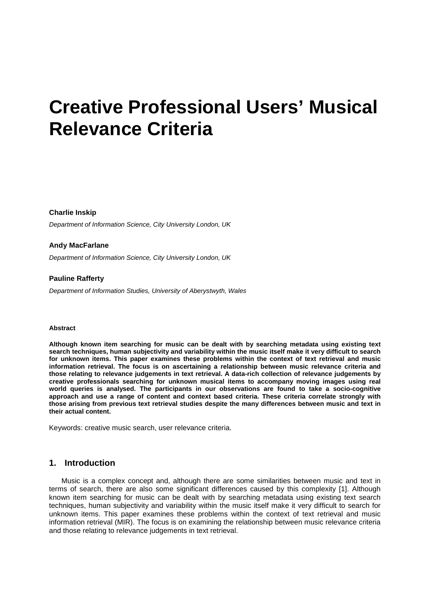# **Creative Professional Users' Musical Relevance Criteria**

**Charlie Inskip**

*Department of Information Science, City University London, UK*

#### **Andy MacFarlane**

*Department of Information Science, City University London, UK*

#### **Pauline Rafferty**

*Department of Information Studies, University of Aberystwyth, Wales*

#### **Abstract**

**Although known item searching for music can be dealt with by searching metadata using existing text search techniques, human subjectivity and variability within the music itself make it very difficult to search for unknown items. This paper examines these problems within the context of text retrieval and music information retrieval. The focus is on ascertaining a relationship between music relevance criteria and those relating to relevance judgements in text retrieval. A data-rich collection of relevance judgements by creative professionals searching for unknown musical items to accompany moving images using real world queries is analysed. The participants in our observations are found to take a socio-cognitive approach and use a range of content and context based criteria. These criteria correlate strongly with those arising from previous text retrieval studies despite the many differences between music and text in their actual content.**

Keywords: creative music search, user relevance criteria.

#### **1. Introduction**

Music is a complex concept and, although there are some similarities between music and text in terms of search, there are also some significant differences caused by this complexity [1]. Although known item searching for music can be dealt with by searching metadata using existing text search techniques, human subjectivity and variability within the music itself make it very difficult to search for unknown items. This paper examines these problems within the context of text retrieval and music information retrieval (MIR). The focus is on examining the relationship between music relevance criteria and those relating to relevance judgements in text retrieval.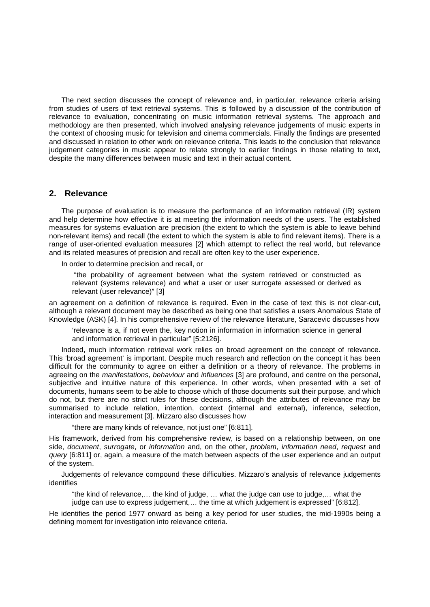The next section discusses the concept of relevance and, in particular, relevance criteria arising from studies of users of text retrieval systems. This is followed by a discussion of the contribution of relevance to evaluation, concentrating on music information retrieval systems. The approach and methodology are then presented, which involved analysing relevance judgements of music experts in the context of choosing music for television and cinema commercials. Finally the findings are presented and discussed in relation to other work on relevance criteria. This leads to the conclusion that relevance judgement categories in music appear to relate strongly to earlier findings in those relating to text, despite the many differences between music and text in their actual content.

## **2. Relevance**

The purpose of evaluation is to measure the performance of an information retrieval (IR) system and help determine how effective it is at meeting the information needs of the users. The established measures for systems evaluation are precision (the extent to which the system is able to leave behind non-relevant items) and recall (the extent to which the system is able to find relevant items). There is a range of user-oriented evaluation measures [2] which attempt to reflect the real world, but relevance and its related measures of precision and recall are often key to the user experience.

In order to determine precision and recall, or

"the probability of agreement between what the system retrieved or constructed as relevant (systems relevance) and what a user or user surrogate assessed or derived as relevant (user relevance)" [3]

an agreement on a definition of relevance is required. Even in the case of text this is not clear-cut, although a relevant document may be described as being one that satisfies a users Anomalous State of Knowledge (ASK) [4]. In his comprehensive review of the relevance literature, Saracevic discusses how

'relevance is a, if not even the, key notion in information in information science in general and information retrieval in particular" [5:2126].

Indeed, much information retrieval work relies on broad agreement on the concept of relevance. This 'broad agreement' is important. Despite much research and reflection on the concept it has been difficult for the community to agree on either a definition or a theory of relevance. The problems in agreeing on the *manifestations*, *behaviour* and *influences* [3] are profound, and centre on the personal, subjective and intuitive nature of this experience. In other words, when presented with a set of documents, humans seem to be able to choose which of those documents suit their purpose, and which do not, but there are no strict rules for these decisions, although the attributes of relevance may be summarised to include relation, intention, context (internal and external), inference, selection, interaction and measurement [3]. Mizzaro also discusses how

"there are many kinds of relevance, not just one" [6:811].

His framework, derived from his comprehensive review, is based on a relationship between, on one side, *document*, *surrogate*, or *information* and, on the other, *problem*, *information need*, *request* and *query* [6:811] or, again, a measure of the match between aspects of the user experience and an output of the system.

Judgements of relevance compound these difficulties. Mizzaro's analysis of relevance judgements identifies

"the kind of relevance,… the kind of judge, … what the judge can use to judge,… what the judge can use to express judgement,… the time at which judgement is expressed" [6:812].

He identifies the period 1977 onward as being a key period for user studies, the mid-1990s being a defining moment for investigation into relevance criteria.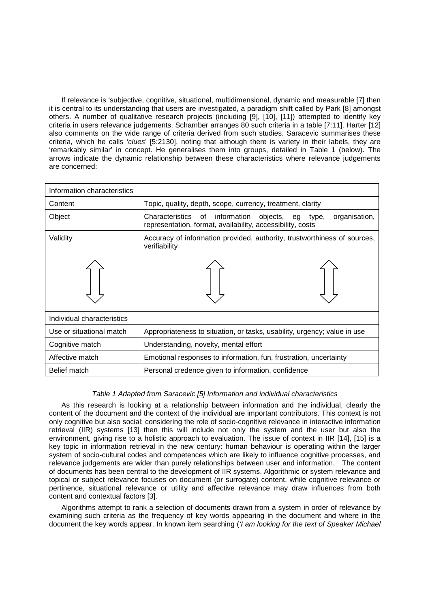If relevance is 'subjective, cognitive, situational, multidimensional, dynamic and measurable [7] then it is central to its understanding that users are investigated, a paradigm shift called by Park [8] amongst others. A number of qualitative research projects (including [9], [10], [11]) attempted to identify key criteria in users relevance judgements. Schamber arranges 80 such criteria in a table [7:11]. Harter [12] also comments on the wide range of criteria derived from such studies. Saracevic summarises these criteria, which he calls '*clues*' [5:2130], noting that although there is variety in their labels, they are 'remarkably similar' in concept. He generalises them into groups, detailed in Table 1 (below). The arrows indicate the dynamic relationship between these characteristics where relevance judgements are concerned:

| Information characteristics |                                                                                                                                       |  |  |
|-----------------------------|---------------------------------------------------------------------------------------------------------------------------------------|--|--|
| Content                     | Topic, quality, depth, scope, currency, treatment, clarity                                                                            |  |  |
| Object                      | Characteristics of information<br>objects, eg<br>organisation,<br>type,<br>representation, format, availability, accessibility, costs |  |  |
| Validity                    | Accuracy of information provided, authority, trustworthiness of sources,<br>verifiability                                             |  |  |
|                             |                                                                                                                                       |  |  |
| Individual characteristics  |                                                                                                                                       |  |  |
| Use or situational match    | Appropriateness to situation, or tasks, usability, urgency; value in use                                                              |  |  |
| Cognitive match             | Understanding, novelty, mental effort                                                                                                 |  |  |
| Affective match             | Emotional responses to information, fun, frustration, uncertainty                                                                     |  |  |
| <b>Belief match</b>         | Personal credence given to information, confidence                                                                                    |  |  |

#### *Table 1 Adapted from Saracevic [5] Information and individual characteristics*

As this research is looking at a relationship between information and the individual, clearly the content of the document and the context of the individual are important contributors. This context is not only cognitive but also social: considering the role of socio-cognitive relevance in interactive information retrieval (IIR) systems [13] then this will include not only the system and the user but also the environment, giving rise to a holistic approach to evaluation. The issue of context in IIR [14], [15] is a key topic in information retrieval in the new century: human behaviour is operating within the larger system of socio-cultural codes and competences which are likely to influence cognitive processes, and relevance judgements are wider than purely relationships between user and information. The content of documents has been central to the development of IIR systems. Algorithmic or system relevance and topical or subject relevance focuses on document (or surrogate) content, while cognitive relevance or pertinence, situational relevance or utility and affective relevance may draw influences from both content and contextual factors [3].

Algorithms attempt to rank a selection of documents drawn from a system in order of relevance by examining such criteria as the frequency of key words appearing in the document and where in the document the key words appear. In known item searching (*'I am looking for the text of Speaker Michael*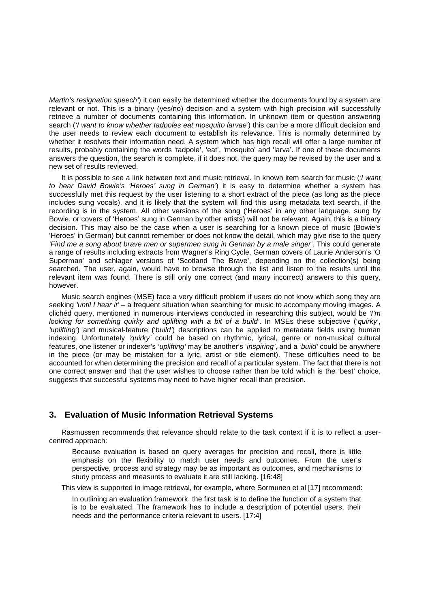*Martin's resignation speech'*) it can easily be determined whether the documents found by a system are relevant or not. This is a binary (yes/no) decision and a system with high precision will successfully retrieve a number of documents containing this information. In unknown item or question answering search (*'I want to know whether tadpoles eat mosquito larvae'*) this can be a more difficult decision and the user needs to review each document to establish its relevance. This is normally determined by whether it resolves their information need. A system which has high recall will offer a large number of results, probably containing the words 'tadpole', 'eat', 'mosquito' and 'larva'. If one of these documents answers the question, the search is complete, if it does not, the query may be revised by the user and a new set of results reviewed.

It is possible to see a link between text and music retrieval. In known item search for music (*'I want to hear David Bowie's 'Heroes' sung in German'*) it is easy to determine whether a system has successfully met this request by the user listening to a short extract of the piece (as long as the piece includes sung vocals), and it is likely that the system will find this using metadata text search, if the recording is in the system. All other versions of the song ('Heroes' in any other language, sung by Bowie, or covers of 'Heroes' sung in German by other artists) will not be relevant. Again, this is a binary decision. This may also be the case when a user is searching for a known piece of music (Bowie's 'Heroes' in German) but cannot remember or does not know the detail, which may give rise to the query *'Find me a song about brave men or supermen sung in German by a male singer'*. This could generate a range of results including extracts from Wagner's Ring Cycle, German covers of Laurie Anderson's 'O Superman' and schlager versions of 'Scotland The Brave', depending on the collection(s) being searched. The user, again, would have to browse through the list and listen to the results until the relevant item was found. There is still only one correct (and many incorrect) answers to this query, however.

Music search engines (MSE) face a very difficult problem if users do not know which song they are seeking *'until I hear it'* – a frequent situation when searching for music to accompany moving images. A clichéd query, mentioned in numerous interviews conducted in researching this subject, would be *'I'm looking for something quirky and uplifting with a bit of a build'*. In MSEs these subjective ('*quirky*', *'uplifting'*) and musical-feature ('*build'*) descriptions can be applied to metadata fields using human indexing. Unfortunately *'quirky'* could be based on rhythmic, lyrical, genre or non-musical cultural features, one listener or indexer's '*uplifting'* may be another's '*inspiring'*, and a '*build'* could be anywhere in the piece (or may be mistaken for a lyric, artist or title element). These difficulties need to be accounted for when determining the precision and recall of a particular system. The fact that there is not one correct answer and that the user wishes to choose rather than be told which is the 'best' choice, suggests that successful systems may need to have higher recall than precision.

#### **3. Evaluation of Music Information Retrieval Systems**

Rasmussen recommends that relevance should relate to the task context if it is to reflect a usercentred approach:

Because evaluation is based on query averages for precision and recall, there is little emphasis on the flexibility to match user needs and outcomes. From the user's perspective, process and strategy may be as important as outcomes, and mechanisms to study process and measures to evaluate it are still lacking. [16:48]

This view is supported in image retrieval, for example, where Sormunen et al [17] recommend:

In outlining an evaluation framework, the first task is to define the function of a system that is to be evaluated. The framework has to include a description of potential users, their needs and the performance criteria relevant to users. [17:4]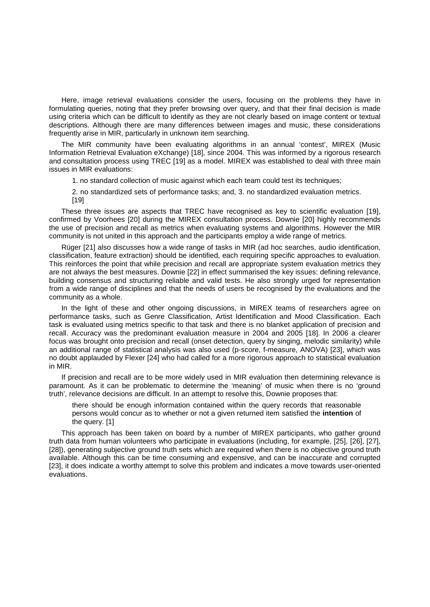Here, image retrieval evaluations consider the users, focusing on the problems they have in formulating queries, noting that they prefer browsing over query, and that their final decision is made using criteria which can be difficult to identify as they are not clearly based on image content or textual descriptions. Although there are many differences between images and music, these considerations frequently arise in MIR, particularly in unknown item searching.

The MIR community have been evaluating algorithms in an annual 'contest', MIREX (Music Information Retrieval Evaluation eXchange) [18], since 2004. This was informed by a rigorous research and consultation process using TREC [19] as a model. MIREX was established to deal with three main issues in MIR evaluations:

1. no standard collection of music against which each team could test its techniques;

2. no standardized sets of performance tasks; and, 3. no standardized evaluation metrics. [19]

These three issues are aspects that TREC have recognised as key to scientific evaluation [19], confirmed by Voorhees [20] during the MIREX consultation process. Downie [20] highly recommends the use of precision and recall as metrics when evaluating systems and algorithms. However the MIR community is not united in this approach and the participants employ a wide range of metrics.

Rüger [21] also discusses how a wide range of tasks in MIR (ad hoc searches, audio identification, classification, feature extraction) should be identified, each requiring specific approaches to evaluation. This reinforces the point that while precision and recall are appropriate system evaluation metrics they are not always the best measures. Downie [22] in effect summarised the key issues: defining relevance, building consensus and structuring reliable and valid tests. He also strongly urged for representation from a wide range of disciplines and that the needs of users be recognised by the evaluations and the community as a whole.

In the light of these and other ongoing discussions, in MIREX teams of researchers agree on performance tasks, such as Genre Classification, Artist Identification and Mood Classification. Each task is evaluated using metrics specific to that task and there is no blanket application of precision and recall. Accuracy was the predominant evaluation measure in 2004 and 2005 [18]. In 2006 a clearer focus was brought onto precision and recall (onset detection, query by singing, melodic similarity) while an additional range of statistical analysis was also used (p-score, f-measure, ANOVA) [23], which was no doubt applauded by Flexer [24] who had called for a more rigorous approach to statistical evaluation in MIR.

If precision and recall are to be more widely used in MIR evaluation then determining relevance is paramount. As it can be problematic to determine the 'meaning' of music when there is no 'ground truth', relevance decisions are difficult. In an attempt to resolve this, Downie proposes that:

there should be enough information contained within the query records that reasonable persons would concur as to whether or not a given returned item satisfied the **intention** of the query. [1]

This approach has been taken on board by a number of MIREX participants, who gather ground truth data from human volunteers who participate in evaluations (including, for example, [25], [26], [27], [28]), generating subjective ground truth sets which are required when there is no objective ground truth available. Although this can be time consuming and expensive, and can be inaccurate and corrupted [23], it does indicate a worthy attempt to solve this problem and indicates a move towards user-oriented evaluations.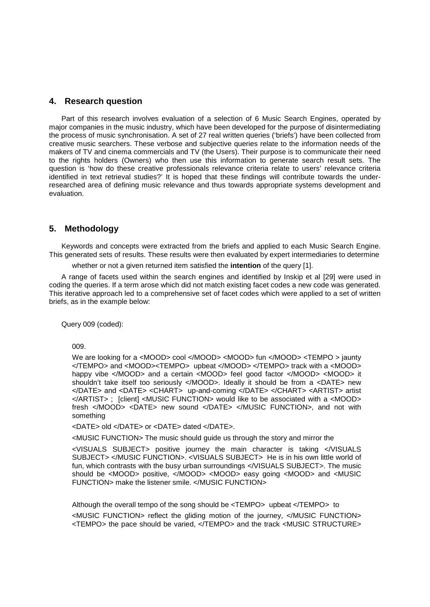#### **4. Research question**

Part of this research involves evaluation of a selection of 6 Music Search Engines, operated by major companies in the music industry, which have been developed for the purpose of disintermediating the process of music synchronisation. A set of 27 real written queries ('briefs') have been collected from creative music searchers. These verbose and subjective queries relate to the information needs of the makers of TV and cinema commercials and TV (the Users). Their purpose is to communicate their need to the rights holders (Owners) who then use this information to generate search result sets. The question is 'how do these creative professionals relevance criteria relate to users' relevance criteria identified in text retrieval studies?' It is hoped that these findings will contribute towards the underresearched area of defining music relevance and thus towards appropriate systems development and evaluation.

#### **5. Methodology**

Keywords and concepts were extracted from the briefs and applied to each Music Search Engine. This generated sets of results. These results were then evaluated by expert intermediaries to determine

whether or not a given returned item satisfied the **intention** of the query [1].

A range of facets used within the search engines and identified by Inskip et al [29] were used in coding the queries. If a term arose which did not match existing facet codes a new code was generated. This iterative approach led to a comprehensive set of facet codes which were applied to a set of written briefs, as in the example below:

Query 009 (coded):

009.

We are looking for a <MOOD> cool </MOOD> <MOOD> fun </MOOD> <TEMPO > jaunty </TEMPO> and <MOOD><TEMPO> upbeat </MOOD> </TEMPO> track with a <MOOD> happy vibe </MOOD> and a certain <MOOD> feel good factor </MOOD> <MOOD> it shouldn't take itself too seriously </MOOD>. Ideally it should be from a <DATE> new </DATE> and <DATE> <CHART> up-and-coming </DATE> </CHART> <ARTIST> artist </ARTIST> ; [client] <MUSIC FUNCTION> would like to be associated with a <MOOD> fresh </MOOD> <DATE> new sound </DATE> </MUSIC FUNCTION>, and not with something

<DATE> old </DATE> or <DATE> dated </DATE>.

<MUSIC FUNCTION> The music should guide us through the story and mirror the

<VISUALS SUBJECT> positive journey the main character is taking </VISUALS SUBJECT> </MUSIC FUNCTION>. <VISUALS SUBJECT> He is in his own little world of fun, which contrasts with the busy urban surroundings </VISUALS SUBJECT>. The music should be <MOOD> positive, </MOOD> <MOOD> easy going <MOOD> and <MUSIC FUNCTION> make the listener smile. </MUSIC FUNCTION>

Although the overall tempo of the song should be <TEMPO> upbeat </TEMPO> to

<MUSIC FUNCTION> reflect the gliding motion of the journey, </MUSIC FUNCTION> <TEMPO> the pace should be varied, </TEMPO> and the track <MUSIC STRUCTURE>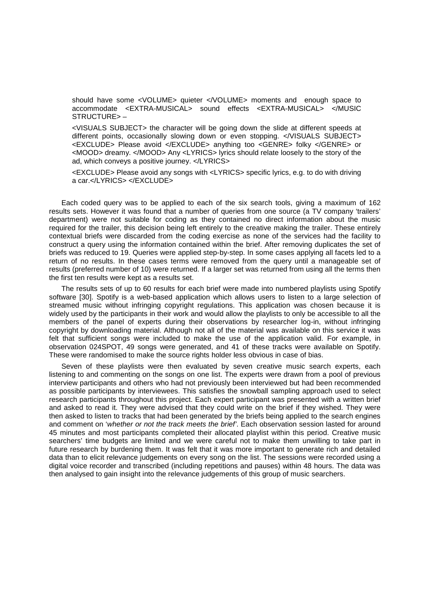should have some <VOLUME> quieter </VOLUME> moments and enough space to accommodate <EXTRA-MUSICAL> sound effects <EXTRA-MUSICAL> </MUSIC STRUCTURE> –

<VISUALS SUBJECT> the character will be going down the slide at different speeds at different points, occasionally slowing down or even stopping. </VISUALS SUBJECT> <EXCLUDE> Please avoid </EXCLUDE> anything too <GENRE> folky </GENRE> or <MOOD> dreamy. </MOOD> Any <LYRICS> lyrics should relate loosely to the story of the ad, which conveys a positive journey. </LYRICS>

<EXCLUDE> Please avoid any songs with <LYRICS> specific lyrics, e.g. to do with driving a car.</LYRICS> </EXCLUDE>

Each coded query was to be applied to each of the six search tools, giving a maximum of 162 results sets. However it was found that a number of queries from one source (a TV company 'trailers' department) were not suitable for coding as they contained no direct information about the music required for the trailer, this decision being left entirely to the creative making the trailer. These entirely contextual briefs were discarded from the coding exercise as none of the services had the facility to construct a query using the information contained within the brief. After removing duplicates the set of briefs was reduced to 19. Queries were applied step-by-step. In some cases applying all facets led to a return of no results. In these cases terms were removed from the query until a manageable set of results (preferred number of 10) were returned. If a larger set was returned from using all the terms then the first ten results were kept as a results set.

The results sets of up to 60 results for each brief were made into numbered playlists using Spotify software [30]. Spotify is a web-based application which allows users to listen to a large selection of streamed music without infringing copyright regulations. This application was chosen because it is widely used by the participants in their work and would allow the playlists to only be accessible to all the members of the panel of experts during their observations by researcher log-in, without infringing copyright by downloading material. Although not all of the material was available on this service it was felt that sufficient songs were included to make the use of the application valid. For example, in observation 024SPOT, 49 songs were generated, and 41 of these tracks were available on Spotify. These were randomised to make the source rights holder less obvious in case of bias.

Seven of these playlists were then evaluated by seven creative music search experts, each listening to and commenting on the songs on one list. The experts were drawn from a pool of previous interview participants and others who had not previously been interviewed but had been recommended as possible participants by interviewees. This satisfies the snowball sampling approach used to select research participants throughout this project. Each expert participant was presented with a written brief and asked to read it. They were advised that they could write on the brief if they wished. They were then asked to listen to tracks that had been generated by the briefs being applied to the search engines and comment on '*whether or not the track meets the brief'*. Each observation session lasted for around 45 minutes and most participants completed their allocated playlist within this period. Creative music searchers' time budgets are limited and we were careful not to make them unwilling to take part in future research by burdening them. It was felt that it was more important to generate rich and detailed data than to elicit relevance judgements on every song on the list. The sessions were recorded using a digital voice recorder and transcribed (including repetitions and pauses) within 48 hours. The data was then analysed to gain insight into the relevance judgements of this group of music searchers.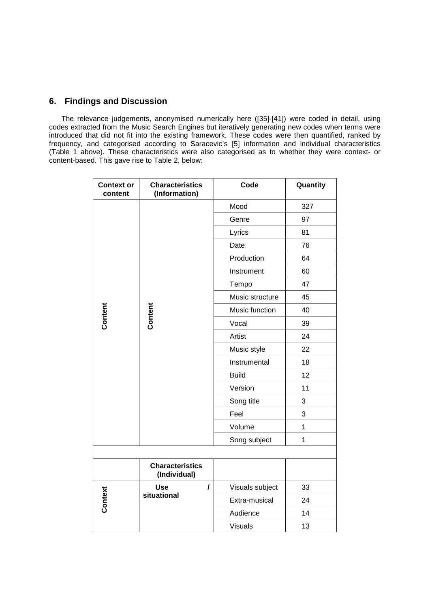# **6. Findings and Discussion**

The relevance judgements, anonymised numerically here ([35]-[41]) were coded in detail, using codes extracted from the Music Search Engines but iteratively generating new codes when terms were introduced that did not fit into the existing framework. These codes were then quantified, ranked by frequency, and categorised according to Saracevic's [5] information and individual characteristics (Table 1 above). These characteristics were also categorised as to whether they were context- or content-based. This gave rise to Table 2, below:

| <b>Context or</b><br>content | <b>Characteristics</b><br>(Information)     | Code            | Quantity       |
|------------------------------|---------------------------------------------|-----------------|----------------|
|                              | Content                                     | Mood            | 327            |
|                              |                                             | Genre           | 97             |
|                              |                                             | Lyrics          | 81             |
|                              |                                             | Date            | 76             |
| Content                      |                                             | Production      | 64             |
|                              |                                             | Instrument      | 60             |
|                              |                                             | Tempo           | 47             |
|                              |                                             | Music structure | 45             |
|                              |                                             | Music function  | 40             |
|                              |                                             | Vocal           | 39             |
|                              |                                             | Artist          | 24             |
|                              |                                             | Music style     | 22             |
|                              |                                             | Instrumental    | 18             |
|                              |                                             | <b>Build</b>    | 12             |
|                              |                                             | Version         | 11             |
|                              |                                             | Song title      | 3              |
|                              |                                             | Feel            | 3              |
|                              |                                             | Volume          | $\overline{1}$ |
|                              |                                             | Song subject    | $\mathbf{1}$   |
|                              |                                             |                 |                |
|                              | <b>Characteristics</b><br>(Individual)      |                 |                |
| Context                      | $\overline{I}$<br><b>Use</b><br>situational | Visuals subject | 33             |
|                              |                                             | Extra-musical   | 24             |
|                              |                                             | Audience        | 14             |
|                              |                                             | <b>Visuals</b>  | 13             |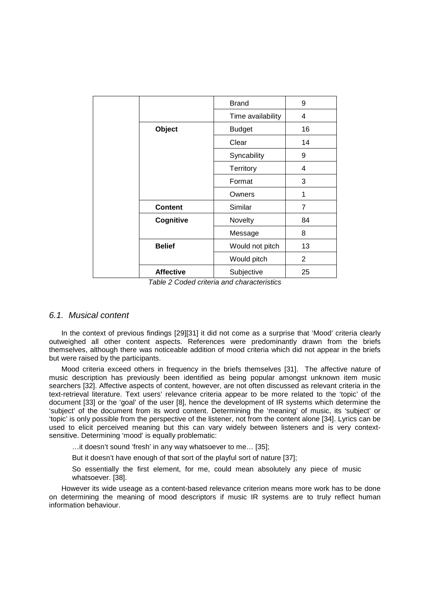|  |                  | <b>Brand</b>      | 9              |
|--|------------------|-------------------|----------------|
|  |                  | Time availability | 4              |
|  | Object           | <b>Budget</b>     | 16             |
|  |                  | Clear             | 14             |
|  |                  | Syncability       | 9              |
|  |                  | Territory         | 4              |
|  |                  | Format            | 3              |
|  |                  | Owners            | 1              |
|  | <b>Content</b>   | Similar           | 7              |
|  | Cognitive        | Novelty           | 84             |
|  |                  | Message           | 8              |
|  | <b>Belief</b>    | Would not pitch   | 13             |
|  |                  | Would pitch       | $\overline{2}$ |
|  | <b>Affective</b> | Subjective        | 25             |

*Table 2 Coded criteria and characteristics*

## *6.1. Musical content*

In the context of previous findings [29][31] it did not come as a surprise that 'Mood' criteria clearly outweighed all other content aspects. References were predominantly drawn from the briefs themselves, although there was noticeable addition of mood criteria which did not appear in the briefs but were raised by the participants.

Mood criteria exceed others in frequency in the briefs themselves [31]. The affective nature of music description has previously been identified as being popular amongst unknown item music searchers [32]. Affective aspects of content, however, are not often discussed as relevant criteria in the text-retrieval literature. Text users' relevance criteria appear to be more related to the 'topic' of the document [33] or the 'goal' of the user [8], hence the development of IR systems which determine the 'subject' of the document from its word content. Determining the 'meaning' of music, its 'subject' or 'topic' is only possible from the perspective of the listener, not from the content alone [34]. Lyrics can be used to elicit perceived meaning but this can vary widely between listeners and is very contextsensitive. Determining 'mood' is equally problematic:

…it doesn't sound 'fresh' in any way whatsoever to me… [35];

But it doesn't have enough of that sort of the playful sort of nature [37];

So essentially the first element, for me, could mean absolutely any piece of music whatsoever. [38].

However its wide useage as a content-based relevance criterion means more work has to be done on determining the meaning of mood descriptors if music IR systems are to truly reflect human information behaviour.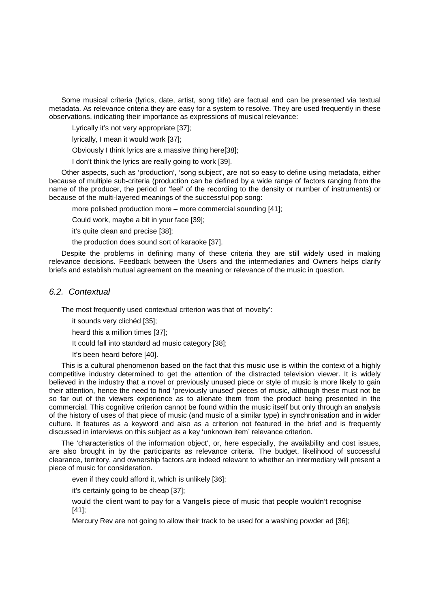Some musical criteria (lyrics, date, artist, song title) are factual and can be presented via textual metadata. As relevance criteria they are easy for a system to resolve. They are used frequently in these observations, indicating their importance as expressions of musical relevance:

Lyrically it's not very appropriate [37];

lyrically, I mean it would work [37];

Obviously I think lyrics are a massive thing here[38];

I don't think the lyrics are really going to work [39].

Other aspects, such as 'production', 'song subject', are not so easy to define using metadata, either because of multiple sub-criteria (production can be defined by a wide range of factors ranging from the name of the producer, the period or 'feel' of the recording to the density or number of instruments) or because of the multi-layered meanings of the successful pop song:

more polished production more – more commercial sounding [41];

Could work, maybe a bit in your face [39];

it's quite clean and precise [38];

the production does sound sort of karaoke [37].

Despite the problems in defining many of these criteria they are still widely used in making relevance decisions. Feedback between the Users and the intermediaries and Owners helps clarify briefs and establish mutual agreement on the meaning or relevance of the music in question.

#### *6.2. Contextual*

The most frequently used contextual criterion was that of 'novelty':

it sounds very clichéd [35];

heard this a million times [37];

It could fall into standard ad music category [38];

It's been heard before [40].

This is a cultural phenomenon based on the fact that this music use is within the context of a highly competitive industry determined to get the attention of the distracted television viewer. It is widely believed in the industry that a novel or previously unused piece or style of music is more likely to gain their attention, hence the need to find 'previously unused' pieces of music, although these must not be so far out of the viewers experience as to alienate them from the product being presented in the commercial. This cognitive criterion cannot be found within the music itself but only through an analysis of the history of uses of that piece of music (and music of a similar type) in synchronisation and in wider culture. It features as a keyword and also as a criterion not featured in the brief and is frequently discussed in interviews on this subject as a key 'unknown item' relevance criterion.

The 'characteristics of the information object', or, here especially, the availability and cost issues, are also brought in by the participants as relevance criteria. The budget, likelihood of successful clearance, territory, and ownership factors are indeed relevant to whether an intermediary will present a piece of music for consideration.

even if they could afford it, which is unlikely [36];

it's certainly going to be cheap [37];

would the client want to pay for a Vangelis piece of music that people wouldn't recognise [41];

Mercury Rev are not going to allow their track to be used for a washing powder ad [36];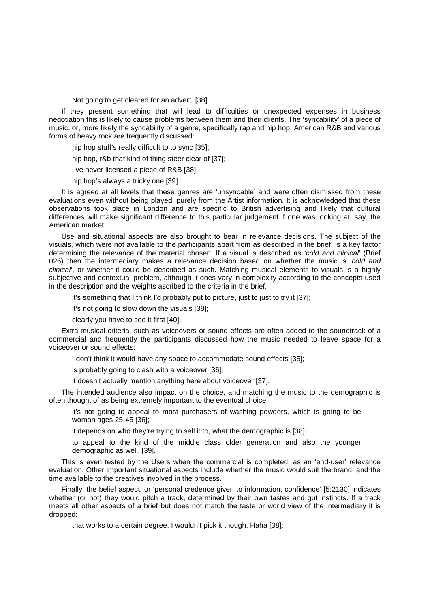Not going to get cleared for an advert. [38].

If they present something that will lead to difficulties or unexpected expenses in business negotiation this is likely to cause problems between them and their clients. The 'syncability' of a piece of music, or, more likely the syncability of a genre, specifically rap and hip hop, American R&B and various forms of heavy rock are frequently discussed:

hip hop stuff's really difficult to to sync [35];

hip hop, r&b that kind of thing steer clear of [37];

I've never licensed a piece of R&B [38];

hip hop's always a tricky one [39].

It is agreed at all levels that these genres are 'unsyncable' and were often dismissed from these evaluations even without being played, purely from the Artist information. It is acknowledged that these observations took place in London and are specific to British advertising and likely that cultural differences will make significant difference to this particular judgement if one was looking at, say, the American market.

Use and situational aspects are also brought to bear in relevance decisions. The subject of the visuals, which were not available to the participants apart from as described in the brief, is a key factor determining the relevance of the material chosen. If a visual is described as '*cold and clinical*' (Brief 026) then the intermediary makes a relevance decision based on whether the music is '*cold and clinical*', or whether it could be described as such. Matching musical elements to visuals is a highly subjective and contextual problem, although it does vary in complexity according to the concepts used in the description and the weights ascribed to the criteria in the brief.

it's something that I think I'd probably put to picture, just to just to try it [37];

it's not going to slow down the visuals [38];

clearly you have to see it first [40].

Extra-musical criteria, such as voiceovers or sound effects are often added to the soundtrack of a commercial and frequently the participants discussed how the music needed to leave space for a voiceover or sound effects:

I don't think it would have any space to accommodate sound effects [35];

is probably going to clash with a voiceover [36];

it doesn't actually mention anything here about voiceover [37].

The intended audience also impact on the choice, and matching the music to the demographic is often thought of as being extremely important to the eventual choice.

it's not going to appeal to most purchasers of washing powders, which is going to be woman ages 25-45 [36];

it depends on who they're trying to sell it to, what the demographic is [38];

to appeal to the kind of the middle class older generation and also the younger demographic as well. [39].

This is even tested by the Users when the commercial is completed, as an 'end-user' relevance evaluation. Other important situational aspects include whether the music would suit the brand, and the time available to the creatives involved in the process.

Finally, the belief aspect, or 'personal credence given to information, confidence' [5:2130] indicates whether (or not) they would pitch a track, determined by their own tastes and gut instincts. If a track meets all other aspects of a brief but does not match the taste or world view of the intermediary it is dropped:

that works to a certain degree. I wouldn't pick it though. Haha [38];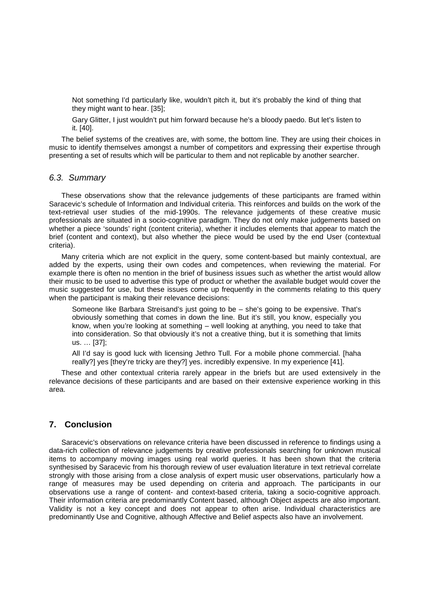Not something I'd particularly like, wouldn't pitch it, but it's probably the kind of thing that they might want to hear. [35];

Gary Glitter, I just wouldn't put him forward because he's a bloody paedo. But let's listen to it. [40].

The belief systems of the creatives are, with some, the bottom line. They are using their choices in music to identify themselves amongst a number of competitors and expressing their expertise through presenting a set of results which will be particular to them and not replicable by another searcher.

#### *6.3. Summary*

These observations show that the relevance judgements of these participants are framed within Saracevic's schedule of Information and Individual criteria. This reinforces and builds on the work of the text-retrieval user studies of the mid-1990s. The relevance judgements of these creative music professionals are situated in a socio-cognitive paradigm. They do not only make judgements based on whether a piece 'sounds' right (content criteria), whether it includes elements that appear to match the brief (content and context), but also whether the piece would be used by the end User (contextual criteria).

Many criteria which are not explicit in the query, some content-based but mainly contextual, are added by the experts, using their own codes and competences, when reviewing the material. For example there is often no mention in the brief of business issues such as whether the artist would allow their music to be used to advertise this type of product or whether the available budget would cover the music suggested for use, but these issues come up frequently in the comments relating to this query when the participant is making their relevance decisions:

Someone like Barbara Streisand's just going to be – she's going to be expensive. That's obviously something that comes in down the line. But it's still, you know, especially you know, when you're looking at something – well looking at anything, you need to take that into consideration. So that obviously it's not a creative thing, but it is something that limits us. … [37];

All I'd say is good luck with licensing Jethro Tull. For a mobile phone commercial. [haha really?] yes [they're tricky are they?] yes. incredibly expensive. In my experience [41].

These and other contextual criteria rarely appear in the briefs but are used extensively in the relevance decisions of these participants and are based on their extensive experience working in this area.

# **7. Conclusion**

Saracevic's observations on relevance criteria have been discussed in reference to findings using a data-rich collection of relevance judgements by creative professionals searching for unknown musical items to accompany moving images using real world queries. It has been shown that the criteria synthesised by Saracevic from his thorough review of user evaluation literature in text retrieval correlate strongly with those arising from a close analysis of expert music user observations, particularly how a range of measures may be used depending on criteria and approach. The participants in our observations use a range of content- and context-based criteria, taking a socio-cognitive approach. Their information criteria are predominantly Content based, although Object aspects are also important. Validity is not a key concept and does not appear to often arise. Individual characteristics are predominantly Use and Cognitive, although Affective and Belief aspects also have an involvement.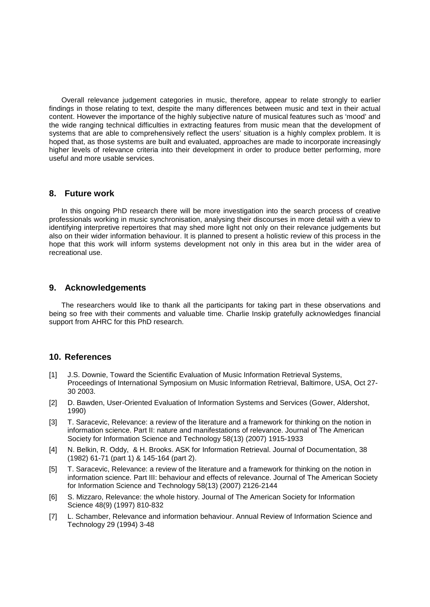Overall relevance judgement categories in music, therefore, appear to relate strongly to earlier findings in those relating to text, despite the many differences between music and text in their actual content. However the importance of the highly subjective nature of musical features such as 'mood' and the wide ranging technical difficulties in extracting features from music mean that the development of systems that are able to comprehensively reflect the users' situation is a highly complex problem. It is hoped that, as those systems are built and evaluated, approaches are made to incorporate increasingly higher levels of relevance criteria into their development in order to produce better performing, more useful and more usable services.

#### **8. Future work**

In this ongoing PhD research there will be more investigation into the search process of creative professionals working in music synchronisation, analysing their discourses in more detail with a view to identifying interpretive repertoires that may shed more light not only on their relevance judgements but also on their wider information behaviour. It is planned to present a holistic review of this process in the hope that this work will inform systems development not only in this area but in the wider area of recreational use.

## **9. Acknowledgements**

The researchers would like to thank all the participants for taking part in these observations and being so free with their comments and valuable time. Charlie Inskip gratefully acknowledges financial support from AHRC for this PhD research.

#### **10. References**

- [1] J.S. Downie, Toward the Scientific Evaluation of Music Information Retrieval Systems, Proceedings of International Symposium on Music Information Retrieval, Baltimore, USA, Oct 27- 30 2003.
- [2] D. Bawden, User-Oriented Evaluation of Information Systems and Services (Gower, Aldershot, 1990)
- [3] T. Saracevic, Relevance: a review of the literature and a framework for thinking on the notion in information science. Part II: nature and manifestations of relevance. Journal of The American Society for Information Science and Technology 58(13) (2007) 1915-1933
- [4] N. Belkin, R. Oddy, & H. Brooks. ASK for Information Retrieval. Journal of Documentation, 38 (1982) 61-71 (part 1) & 145-164 (part 2).
- [5] T. Saracevic, Relevance: a review of the literature and a framework for thinking on the notion in information science. Part III: behaviour and effects of relevance. Journal of The American Society for Information Science and Technology 58(13) (2007) 2126-2144
- [6] S. Mizzaro, Relevance: the whole history. Journal of The American Society for Information Science 48(9) (1997) 810-832
- [7] L. Schamber, Relevance and information behaviour. Annual Review of Information Science and Technology 29 (1994) 3-48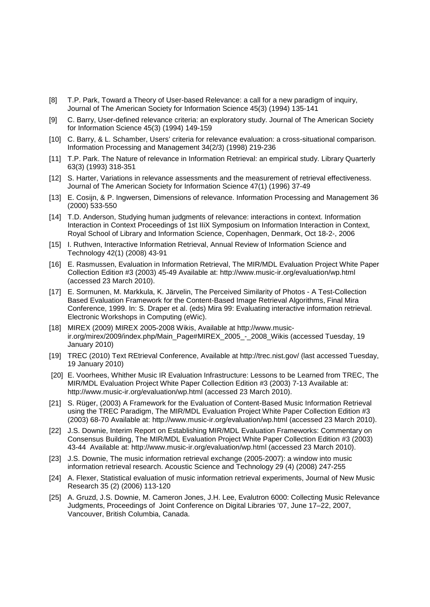- [8] T.P. Park, Toward a Theory of User-based Relevance: a call for a new paradigm of inquiry, Journal of The American Society for Information Science 45(3) (1994) 135-141
- [9] C. Barry, User-defined relevance criteria: an exploratory study. Journal of The American Society for Information Science 45(3) (1994) 149-159
- [10] C. Barry, & L. Schamber, Users' criteria for relevance evaluation: a cross-situational comparison. Information Processing and Management 34(2/3) (1998) 219-236
- [11] T.P. Park. The Nature of relevance in Information Retrieval: an empirical study. Library Quarterly 63(3) (1993) 318-351
- [12] S. Harter, Variations in relevance assessments and the measurement of retrieval effectiveness. Journal of The American Society for Information Science 47(1) (1996) 37-49
- [13] E. Cosijn, & P. Ingwersen, Dimensions of relevance. Information Processing and Management 36 (2000) 533-550
- [14] T.D. Anderson, Studying human judgments of relevance: interactions in context. Information Interaction in Context Proceedings of 1st IIiX Symposium on Information Interaction in Context, Royal School of Library and Information Science, Copenhagen, Denmark, Oct 18-2-, 2006
- [15] I. Ruthven, Interactive Information Retrieval, Annual Review of Information Science and Technology 42(1) (2008) 43-91
- [16] E. Rasmussen, Evaluation in Information Retrieval, The MIR/MDL Evaluation Project White Paper Collection Edition #3 (2003) 45-49 Available at: http://www.music-ir.org/evaluation/wp.html (accessed 23 March 2010).
- [17] E. Sormunen, M. Markkula, K. Järvelin, The Perceived Similarity of Photos A Test-Collection Based Evaluation Framework for the Content-Based Image Retrieval Algorithms, Final Mira Conference, 1999. In: S. Draper et al. (eds) Mira 99: Evaluating interactive information retrieval. Electronic Workshops in Computing (eWic).
- [18] MIREX (2009) MIREX 2005-2008 Wikis, Available at http://www.musicir.org/mirex/2009/index.php/Main\_Page#MIREX\_2005\_-\_2008\_Wikis (accessed Tuesday, 19 January 2010)
- [19] TREC (2010) Text REtrieval Conference, Available at http://trec.nist.gov/ (last accessed Tuesday, 19 January 2010)
- [20] E. Voorhees, Whither Music IR Evaluation Infrastructure: Lessons to be Learned from TREC, The MIR/MDL Evaluation Project White Paper Collection Edition #3 (2003) 7-13 Available at: http://www.music-ir.org/evaluation/wp.html (accessed 23 March 2010).
- [21] S. Rüger, (2003) A Framework for the Evaluation of Content-Based Music Information Retrieval using the TREC Paradigm, The MIR/MDL Evaluation Project White Paper Collection Edition #3 (2003) 68-70 Available at: http://www.music-ir.org/evaluation/wp.html (accessed 23 March 2010).
- [22] J.S. Downie, Interim Report on Establishing MIR/MDL Evaluation Frameworks: Commentary on Consensus Building, The MIR/MDL Evaluation Project White Paper Collection Edition #3 (2003) 43-44 Available at: http://www.music-ir.org/evaluation/wp.html (accessed 23 March 2010).
- [23] J.S. Downie, The music information retrieval exchange (2005-2007): a window into music information retrieval research. Acoustic Science and Technology 29 (4) (2008) 247-255
- [24] A. Flexer, Statistical evaluation of music information retrieval experiments, Journal of New Music Research 35 (2) (2006) 113-120
- [25] A. Gruzd, J.S. Downie, M. Cameron Jones, J.H. Lee, Evalutron 6000: Collecting Music Relevance Judgments, Proceedings of Joint Conference on Digital Libraries '07, June 17–22, 2007, Vancouver, British Columbia, Canada.